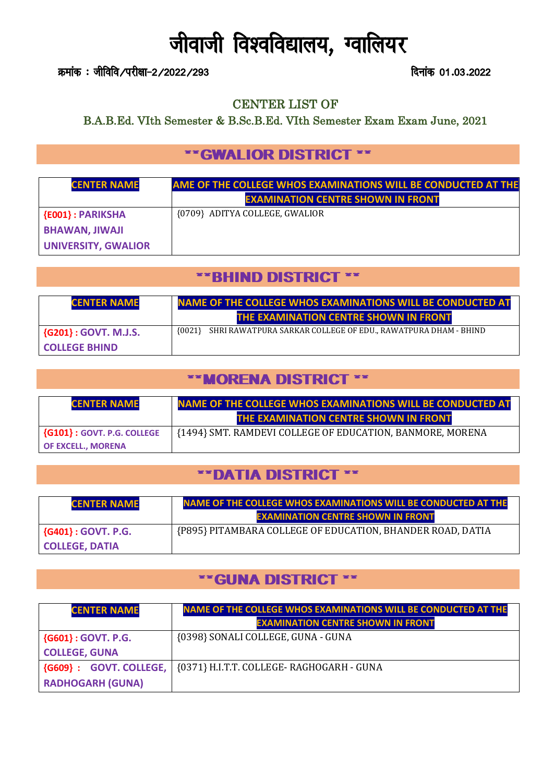# जीवाजी विश्वविद्यालय, ग्वालियर

कमांक : जीविवि∕परीक्षा-2/2022/293 fault ad 01.03.2022

#### CENTER LIST OF

B.A.B.Ed. VIth Semester & B.Sc.B.Ed. VIth Semester Exam Exam June, 2021

## \*\*GWALIOR DISTRICT \*\*

| <b>CENTER NAME</b>         | <b>AME OF THE COLLEGE WHOS EXAMINATIONS WILL BE CONDUCTED AT THE</b> |
|----------------------------|----------------------------------------------------------------------|
|                            | <b>EXAMINATION CENTRE SHOWN IN FRONT</b>                             |
| <b>{E001}: PARIKSHA</b>    | {0709} ADITYA COLLEGE, GWALIOR                                       |
| <b>BHAWAN, JIWAJI</b>      |                                                                      |
| <b>UNIVERSITY, GWALIOR</b> |                                                                      |

#### \*\*BHIND DISTRICT \*\*

| <b>CENTER NAME</b>        | <b>NAME OF THE COLLEGE WHOS EXAMINATIONS WILL BE CONDUCTED AT</b>         |
|---------------------------|---------------------------------------------------------------------------|
|                           | THE EXAMINATION CENTRE SHOWN IN FRONT                                     |
| $\{G201\}$ : GOVT. M.J.S. | SHRI RAWATPURA SARKAR COLLEGE OF EDU., RAWATPURA DHAM - BHIND<br>${0021}$ |
| <b>COLLEGE BHIND</b>      |                                                                           |

## \*\*MORENA DISTRICT \*\*

| <b>CENTER NAME</b>                  | <b>NAME OF THE COLLEGE WHOS EXAMINATIONS WILL BE CONDUCTED AT</b> |
|-------------------------------------|-------------------------------------------------------------------|
|                                     | THE EXAMINATION CENTRE SHOWN IN FRONT                             |
| $\vert$ {G101} : GOVT. P.G. COLLEGE | {1494} SMT. RAMDEVI COLLEGE OF EDUCATION, BANMORE, MORENA         |
| <b>OF EXCELL., MORENA</b>           |                                                                   |

### \*\*DATIA DISTRICT \*\*

| <b>CENTER NAME</b>      | <b>NAME OF THE COLLEGE WHOS EXAMINATIONS WILL BE CONDUCTED AT THE</b> |
|-------------------------|-----------------------------------------------------------------------|
|                         | <b>EXAMINATION CENTRE SHOWN IN FRONT</b>                              |
| $\{G401\}$ : GOVT. P.G. | {P895} PITAMBARA COLLEGE OF EDUCATION, BHANDER ROAD, DATIA            |
| <b>COLLEGE, DATIA</b>   |                                                                       |

#### \*\*GUNA DISTRICT \*\*

| <b>CENTER NAME</b>              | <b>NAME OF THE COLLEGE WHOS EXAMINATIONS WILL BE CONDUCTED AT THE</b><br><b>EXAMINATION CENTRE SHOWN IN FRONT</b> |
|---------------------------------|-------------------------------------------------------------------------------------------------------------------|
| ${G601} : GOVT. P.G.$           | {0398} SONALI COLLEGE, GUNA - GUNA                                                                                |
| <b>COLLEGE, GUNA</b>            |                                                                                                                   |
| <b>{G609}: GOVT. COLLEGE,  </b> | {0371} H.I.T.T. COLLEGE- RAGHOGARH - GUNA                                                                         |
| <b>RADHOGARH (GUNA)</b>         |                                                                                                                   |